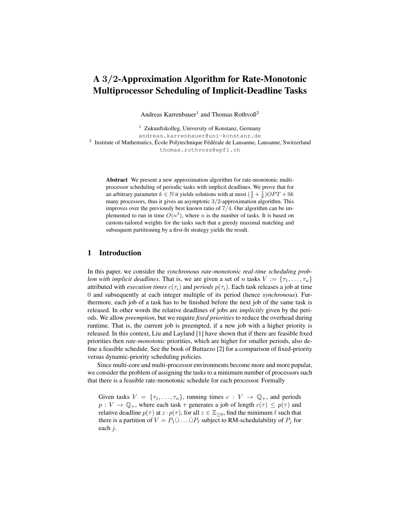# A 3/2-Approximation Algorithm for Rate-Monotonic Multiprocessor Scheduling of Implicit-Deadline Tasks

Andreas Karrenbauer<sup>1</sup> and Thomas Rothvoß<sup>2</sup>

 $1$  Zukunftskolleg, University of Konstanz, Germany andreas.karrenbauer@uni-konstanz.de <sup>2</sup> Institute of Mathematics, École Polytechnique Fédérale de Lausanne, Lausanne, Switzerland thomas.rothvoss@epfl.ch

Abstract We present a new approximation algorithm for rate-monotonic multiprocessor scheduling of periodic tasks with implicit deadlines. We prove that for an arbitrary parameter  $k \in \mathbb{N}$  it yields solutions with at most  $(\frac{3}{2} + \frac{1}{k})OPT + 9k$ many processors, thus it gives an asymptotic 3/2-approximation algorithm. This improves over the previously best known ratio of 7/4. Our algorithm can be implemented to run in time  $O(n^2)$ , where n is the number of tasks. It is based on custom-tailored weights for the tasks such that a greedy maximal matching and subsequent partitioning by a first-fit strategy yields the result.

# 1 Introduction

In this paper, we consider the *synchronous rate-monotonic real-time scheduling problem with implicit deadlines.* That is, we are given a set of *n* tasks  $V := \{\tau_1, \ldots, \tau_n\}$ attributed with *execution times*  $c(\tau_i)$  and *periods*  $p(\tau_i)$ . Each task releases a job at time 0 and subsequently at each integer multiple of its period (hence *synchronous*). Furthermore, each job of a task has to be finished before the next job of the same task is released. In other words the relative deadlines of jobs are *implicitly* given by the periods. We allow *preemption*, but we require *fixed priorities* to reduce the overhead during runtime. That is, the current job is preempted, if a new job with a higher priority is released. In this context, Liu and Layland [1] have shown that if there are feasible fixed priorities then *rate-monotonic* priorities, which are higher for smaller periods, also define a feasible schedule. See the book of Buttazzo [2] for a comparison of fixed-priority versus dynamic-priority scheduling policies.

Since multi-core and multi-processor environments become more and more popular, we consider the problem of assigning the tasks to a minimum number of processors such that there is a feasible rate-monotonic schedule for each processor. Formally

Given tasks  $V = {\tau_1, \ldots, \tau_n}$ , running times  $c: V \to \mathbb{Q}_+$ , and periods  $p: V \to \mathbb{Q}_+$ , where each task  $\tau$  generates a job of length  $c(\tau) \leq p(\tau)$  and relative deadline  $p(\tau)$  at  $z \cdot p(\tau)$ , for all  $z \in \mathbb{Z}_{\geq 0}$ , find the minimum  $\ell$  such that there is a partition of  $V = P_1 \dot{\cup} \dots \dot{\cup} P_\ell$  subject to RM-schedulability of  $P_j$  for each j.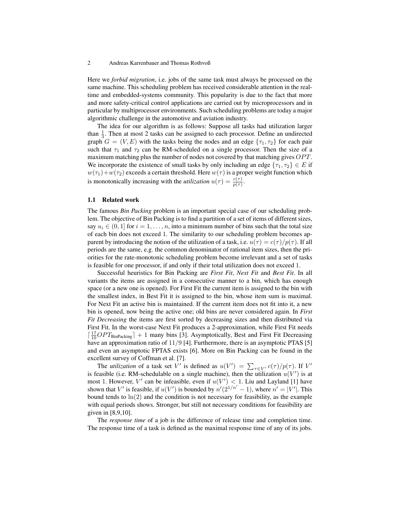Here we *forbid migration*, i.e. jobs of the same task must always be processed on the same machine. This scheduling problem has received considerable attention in the realtime and embedded-systems community. This popularity is due to the fact that more and more safety-critical control applications are carried out by microprocessors and in particular by multiprocessor environments. Such scheduling problems are today a major algorithmic challenge in the automotive and aviation industry.

The idea for our algorithm is as follows: Suppose all tasks had utilization larger than  $\frac{1}{3}$ . Then at most 2 tasks can be assigned to each processor. Define an undirected graph  $G = (V, E)$  with the tasks being the nodes and an edge  $\{\tau_1, \tau_2\}$  for each pair such that  $\tau_1$  and  $\tau_2$  can be RM-scheduled on a single processor. Then the size of a maximum matching plus the number of nodes not covered by that matching gives  $OPT$ . We incorporate the existence of small tasks by only including an edge  $\{\tau_1, \tau_2\} \in E$  if  $w(\tau_1)+w(\tau_2)$  exceeds a certain threshold. Here  $w(\tau)$  is a proper weight function which is monotonically increasing with the *utilization*  $u(\tau) = \frac{c(\tau)}{p(\tau)}$ .

#### 1.1 Related work

The famous *Bin Packing* problem is an important special case of our scheduling problem. The objective of Bin Packing is to find a partition of a set of items of different sizes, say  $u_i \in (0,1]$  for  $i = 1, \ldots, n$ , into a minimum number of bins such that the total size of each bin does not exceed 1. The similarity to our scheduling problem becomes apparent by introducing the notion of the utilization of a task, i.e.  $u(\tau) = c(\tau)/p(\tau)$ . If all periods are the same, e.g. the common denominator of rational item sizes, then the priorities for the rate-monotonic scheduling problem become irrelevant and a set of tasks is feasible for one processor, if and only if their total utilization does not exceed 1.

Successful heuristics for Bin Packing are *First Fit*, *Next Fit* and *Best Fit*. In all variants the items are assigned in a consecutive manner to a bin, which has enough space (or a new one is opened). For First Fit the current item is assigned to the bin with the smallest index, in Best Fit it is assigned to the bin, whose item sum is maximal. For Next Fit an active bin is maintained. If the current item does not fit into it, a new bin is opened, now being the active one; old bins are never considered again. In *First Fit Decreasing* the items are first sorted by decreasing sizes and then distributed via First Fit. In the worst-case Next Fit produces a 2-approximation, while First Fit needs  $\left[\frac{17}{10}OPT_{\text{BinPacking}}\right] + 1$  many bins [3]. Asymptotically, Best and First Fit Decreasing have an approximation ratio of  $11/9$  [4]. Furthermore, there is an asymptotic PTAS [5] and even an asymptotic FPTAS exists [6]. More on Bin Packing can be found in the excellent survey of Coffman et al. [7].

The *utilization* of a task set V' is defined as  $u(V') = \sum_{\tau \in V'} c(\tau) / p(\tau)$ . If V' is feasible (i.e. RM-schedulable on a single machine), then the utilization  $u(V')$  is at most 1. However, V' can be infeasible, even if  $u(V') < 1$ . Liu and Layland [1] have shown that V' is feasible, if  $u(V')$  is bounded by  $n'(2^{1/n'} - 1)$ , where  $n' = |V'|$ . This bound tends to  $\ln(2)$  and the condition is not necessary for feasibility, as the example with equal periods shows. Stronger, but still not necessary conditions for feasibility are given in [8,9,10].

The *response time* of a job is the difference of release time and completion time. The response time of a task is defined as the maximal response time of any of its jobs.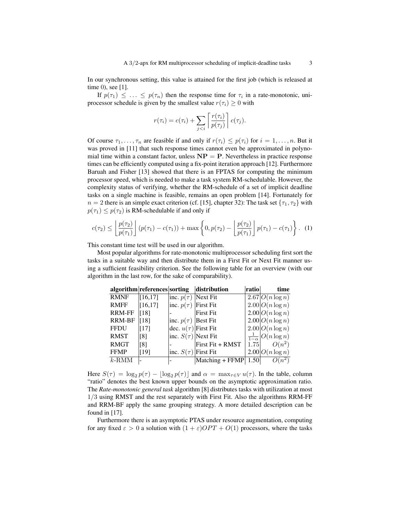In our synchronous setting, this value is attained for the first job (which is released at time 0), see [1].

If  $p(\tau_1) \leq \ldots \leq p(\tau_n)$  then the response time for  $\tau_i$  in a rate-monotonic, uniprocessor schedule is given by the smallest value  $r(\tau_i) \geq 0$  with

$$
r(\tau_i) = c(\tau_i) + \sum_{j < i} \left[ \frac{r(\tau_i)}{p(\tau_j)} \right] c(\tau_j).
$$

Of course  $\tau_1, \ldots, \tau_n$  are feasible if and only if  $r(\tau_i) \leq p(\tau_i)$  for  $i = 1, \ldots, n$ . But it was proved in [11] that such response times cannot even be approximated in polynomial time within a constant factor, unless  $NP = P$ . Nevertheless in practice response times can be efficiently computed using a fix-point iteration approach [12]. Furthermore Baruah and Fisher [13] showed that there is an FPTAS for computing the minimum processor speed, which is needed to make a task system RM-schedulable. However, the complexity status of verifying, whether the RM-schedule of a set of implicit deadline tasks on a single machine is feasible, remains an open problem [14]. Fortunately for  $n = 2$  there is an simple exact criterion (cf. [15], chapter 32): The task set  $\{\tau_1, \tau_2\}$  with  $p(\tau_1) \leq p(\tau_2)$  is RM-schedulable if and only if

$$
c(\tau_2) \leq \left\lfloor \frac{p(\tau_2)}{p(\tau_1)} \right\rfloor (p(\tau_1) - c(\tau_1)) + \max \left\{ 0, p(\tau_2) - \left\lfloor \frac{p(\tau_2)}{p(\tau_1)} \right\rfloor p(\tau_1) - c(\tau_1) \right\}.
$$
 (1)

This constant time test will be used in our algorithm.

Most popular algorithms for rate-monotonic multiprocessor scheduling first sort the tasks in a suitable way and then distribute them in a First Fit or Next Fit manner using a sufficient feasibility criterion. See the following table for an overview (with our algorithm in the last row, for the sake of comparability).

|               | algorithm references sorting |                               | distribution     | ratio | time                               |
|---------------|------------------------------|-------------------------------|------------------|-------|------------------------------------|
| <b>RMNF</b>   | [16, 17]                     | $ inc. p(\tau) $ Next Fit     |                  |       | $2.67 O(n \log n)$                 |
| <b>RMFF</b>   | [16, 17]                     | $ $ inc. $p(\tau)$ First Fit  |                  |       | $2.00 O(n \log n)$                 |
| <b>RRM-FF</b> | $\lceil 18 \rceil$           |                               | First Fit        |       | $2.00 O(n \log n)$                 |
| <b>RRM-BF</b> | $[18]$                       | $ $ inc. $p(\tau)$   Best Fit |                  |       | $2.00 O(n \log n)$                 |
| <b>FFDU</b>   | $\lceil 17 \rceil$           | dec. $u(\tau)$ First Fit      |                  |       | $2.00 O(n \log n)$                 |
| <b>RMST</b>   | [8]                          | $ $ inc. $S(\tau) $ Next Fit  |                  |       | $\frac{1}{1-\alpha}$ $O(n \log n)$ |
| <b>RMGT</b>   | [8]                          |                               | First Fit + RMST |       | 1.75 $O(n^2)$                      |
| <b>FFMP</b>   | [19]                         | inc. $S(\tau)$ First Fit      |                  |       | $2.00 O(n \log n)$                 |
| $k$ -RMM      |                              |                               | Matching + FFMP  | 1.50  | $O(n^2)$                           |

Here  $S(\tau) = \log_2 p(\tau) - \lfloor \log_2 p(\tau) \rfloor$  and  $\alpha = \max_{\tau \in V} u(\tau)$ . In the table, column "ratio" denotes the best known upper bounds on the asymptotic approximation ratio. The *Rate-monotonic general task* algorithm [8] distributes tasks with utilization at most 1/3 using RMST and the rest separately with First Fit. Also the algorithms RRM-FF and RRM-BF apply the same grouping strategy. A more detailed description can be found in [17].

Furthermore there is an asymptotic PTAS under resource augmentation, computing for any fixed  $\varepsilon > 0$  a solution with  $(1 + \varepsilon)OPT + O(1)$  processors, where the tasks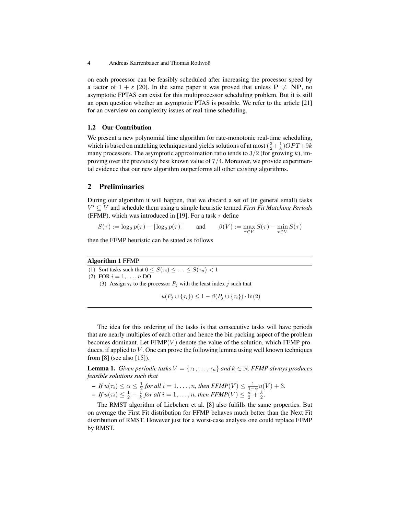on each processor can be feasibly scheduled after increasing the processor speed by a factor of  $1 + \varepsilon$  [20]. In the same paper it was proved that unless  $P \neq NP$ , no asymptotic FPTAS can exist for this multiprocessor scheduling problem. But it is still an open question whether an asymptotic PTAS is possible. We refer to the article [21] for an overview on complexity issues of real-time scheduling.

#### 1.2 Our Contribution

We present a new polynomial time algorithm for rate-monotonic real-time scheduling, which is based on matching techniques and yields solutions of at most  $(\frac{3}{2} + \frac{1}{k})OPT + 9k$ many processors. The asymptotic approximation ratio tends to  $3/2$  (for growing k), improving over the previously best known value of 7/4. Moreover, we provide experimental evidence that our new algorithm outperforms all other existing algorithms.

## 2 Preliminaries

During our algorithm it will happen, that we discard a set of (in general small) tasks  $V' \subseteq V$  and schedule them using a simple heuristic termed *First Fit Matching Periods* (FFMP), which was introduced in [19]. For a task  $\tau$  define

$$
S(\tau) := \log_2 p(\tau) - \lfloor \log_2 p(\tau) \rfloor \quad \text{and} \quad \beta(V) := \max_{\tau \in V} S(\tau) - \min_{\tau \in V} S(\tau)
$$

then the FFMP heuristic can be stated as follows

## Algorithm 1 FFMP

(1) Sort tasks such that  $0 \leq S(\tau_i) \leq \ldots \leq S(\tau_n) < 1$ 

(2) FOR  $i = 1, ..., n$  DO

(3) Assign  $\tau_i$  to the processor  $P_j$  with the least index j such that

 $u(P_j \cup \{\tau_i\}) \leq 1 - \beta(P_j \cup \{\tau_i\}) \cdot \ln(2)$ 

The idea for this ordering of the tasks is that consecutive tasks will have periods that are nearly multiples of each other and hence the bin packing aspect of the problem becomes dominant. Let  $FFMP(V)$  denote the value of the solution, which  $FFMP$  produces, if applied to  $V$ . One can prove the following lemma using well known techniques from [8] (see also [15]).

**Lemma 1.** *Given periodic tasks*  $V = \{\tau_1, \ldots, \tau_n\}$  *and*  $k \in \mathbb{N}$ *. FFMP always produces feasible solutions such that*

- $-If u(\tau_i) \leq \alpha \leq \frac{1}{2}$  for all  $i = 1, \ldots, n$ , then  $FFMP(V) \leq \frac{1}{1-\alpha} u(V) + 3$ .
- $-If u(\tau_i) \leq \frac{1}{2} \frac{1}{k}$  for all  $i = 1, ..., n$ , then  $FFMP(V) \leq \frac{n}{2} + \frac{k}{2}$ .

The RMST algorithm of Liebeherr et al. [8] also fulfills the same properties. But on average the First Fit distribution for FFMP behaves much better than the Next Fit distribution of RMST. However just for a worst-case analysis one could replace FFMP by RMST.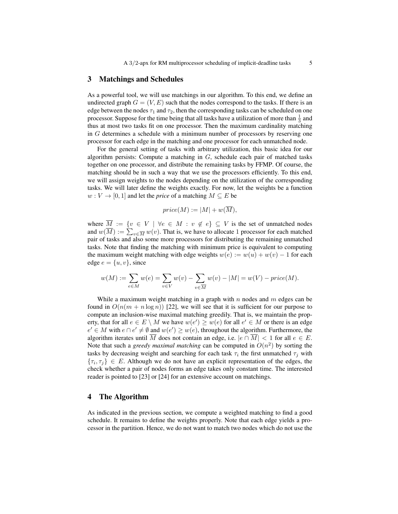### 3 Matchings and Schedules

As a powerful tool, we will use matchings in our algorithm. To this end, we define an undirected graph  $G = (V, E)$  such that the nodes correspond to the tasks. If there is an edge between the nodes  $\tau_1$  and  $\tau_2$ , then the corresponding tasks can be scheduled on one processor. Suppose for the time being that all tasks have a utilization of more than  $\frac{1}{3}$  and thus at most two tasks fit on one processor. Then the maximum cardinality matching in G determines a schedule with a minimum number of processors by reserving one processor for each edge in the matching and one processor for each unmatched node.

For the general setting of tasks with arbitrary utilization, this basic idea for our algorithm persists: Compute a matching in  $G$ , schedule each pair of matched tasks together on one processor, and distribute the remaining tasks by FFMP. Of course, the matching should be in such a way that we use the processors efficiently. To this end, we will assign weights to the nodes depending on the utilization of the corresponding tasks. We will later define the weights exactly. For now, let the weights be a function  $w: V \to [0, 1]$  and let the *price* of a matching  $M \subseteq E$  be

$$
price(M) := |M| + w(\overline{M}),
$$

where  $\overline{M} := \{v \in V \mid \forall e \in M : v \notin e\} \subseteq V$  is the set of unmatched nodes and  $w(\overline{M}) := \sum_{v \in \overline{M}} w(v)$ . That is, we have to allocate 1 processor for each matched pair of tasks and also some more processors for distributing the remaining unmatched tasks. Note that finding the matching with minimum price is equivalent to computing the maximum weight matching with edge weights  $w(e) := w(u) + w(v) - 1$  for each edge  $e = \{u, v\}$ , since

$$
w(M) := \sum_{e \in M} w(e) = \sum_{v \in V} w(v) - \sum_{v \in \overline{M}} w(v) - |M| = w(V) - price(M).
$$

While a maximum weight matching in a graph with  $n$  nodes and  $m$  edges can be found in  $O(n(m + n \log n))$  [22], we will see that it is sufficient for our purpose to compute an inclusion-wise maximal matching greedily. That is, we maintain the property, that for all  $e \in E \setminus M$  we have  $w(e') \geq w(e)$  for all  $e' \in M$  or there is an edge  $e' \in M$  with  $e \cap e' \neq \emptyset$  and  $w(e') \geq w(e)$ , throughout the algorithm. Furthermore, the algorithm iterates until M does not contain an edge, i.e.  $|e \cap M| < 1$  for all  $e \in E$ . Note that such a *greedy maximal matching* can be computed in  $O(n^2)$  by sorting the tasks by decreasing weight and searching for each task  $\tau_i$  the first unmatched  $\tau_j$  with  $\{\tau_i, \tau_j\} \in E$ . Although we do not have an explicit representation of the edges, the check whether a pair of nodes forms an edge takes only constant time. The interested reader is pointed to [23] or [24] for an extensive account on matchings.

## 4 The Algorithm

As indicated in the previous section, we compute a weighted matching to find a good schedule. It remains to define the weights properly. Note that each edge yields a processor in the partition. Hence, we do not want to match two nodes which do not use the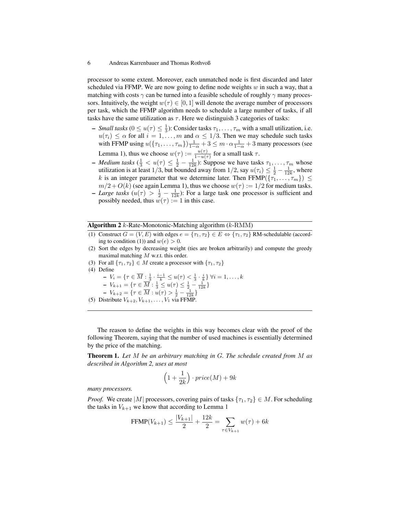processor to some extent. Moreover, each unmatched node is first discarded and later scheduled via FFMP. We are now going to define node weights  $w$  in such a way, that a matching with costs  $\gamma$  can be turned into a feasible schedule of roughly  $\gamma$  many processors. Intuitively, the weight  $w(\tau) \in [0, 1]$  will denote the average number of processors per task, which the FFMP algorithm needs to schedule a large number of tasks, if all tasks have the same utilization as  $\tau$ . Here we distinguish 3 categories of tasks:

- *Small tasks* ( $0 \le u(\tau) \le \frac{1}{3}$ ): Consider tasks  $\tau_1, \ldots, \tau_m$  with a small utilization, i.e.  $u(\tau_i) \leq \alpha$  for all  $i = 1, \ldots, m$  and  $\alpha \leq 1/3$ . Then we may schedule such tasks with FFMP using  $u(\{\tau_1,\ldots,\tau_m\})\frac{1}{1-\alpha}+3 \leq m\cdot\alpha\frac{1}{1-\alpha}+3$  many processors (see Lemma 1), thus we choose  $w(\tau) := \frac{u(\tau)}{1 - u(\tau)}$  for a small task  $\tau$ .
- *Medium tasks* ( $\frac{1}{3} < u(\tau) \leq \frac{1}{2} \frac{1}{12k}$ ): Suppose we have tasks  $\tau_1, \ldots, \tau_m$  whose utilization is at least 1/3, but bounded away from 1/2, say  $u(\tau_i) \leq \frac{1}{2} - \frac{1}{12k}$ , where k is an integer parameter that we determine later. Then FFMP( $\{\tau_1, \ldots, \tau_m\}$ )  $\leq$  $m/2 + O(k)$  (see again Lemma 1), thus we choose  $w(\tau) := 1/2$  for medium tasks.
- *Large tasks*  $(u(\tau)) > \frac{1}{2} \frac{1}{12k}$ : For a large task one processor is sufficient and possibly needed, thus  $w(\tau) := 1$  in this case.

## **Algorithm 2**  $k$ -Rate-Monotonic-Matching algorithm  $(k$ -RMM)

- (1) Construct  $G = (V, E)$  with edges  $e = {\tau_1, \tau_2} \in E \Leftrightarrow {\tau_1, \tau_2}$  RM-schedulable (according to condition (1)) and  $w(e) > 0$ .
- (2) Sort the edges by decreasing weight (ties are broken arbitrarily) and compute the greedy maximal matching  $M$  w.r.t. this order.
- (3) For all  $\{\tau_1, \tau_2\} \in M$  create a processor with  $\{\tau_1, \tau_2\}$
- (4) Define
	- $V_i = \{ \tau \in \overline{M} : \frac{1}{3} \cdot \frac{i-1}{k} \le u(\tau) < \frac{1}{3} \cdot \frac{i}{k} \} \ \forall i = 1, \dots, k$
	- $-V_{k+1} = \{ \tau \in \overline{M} : \frac{1}{3} \leq u(\tau) \leq \frac{1}{2} \frac{1}{12k} \}$
	- $-V_{k+2} = \{ \tau \in \overline{M} : u(\tau) > \frac{1}{2} \frac{1}{12k} \}$
- (5) Distribute  $V_{k+2}$ ,  $V_{k+1}$ , ...,  $V_1$  via FFMP.

The reason to define the weights in this way becomes clear with the proof of the following Theorem, saying that the number of used machines is essentially determined by the price of the matching.

Theorem 1. *Let* M *be an arbitrary matching in* G*. The schedule created from* M *as described in Algorithm 2, uses at most*

$$
\left(1+\frac{1}{2k}\right)\cdot price(M) + 9k
$$

*many processors.*

*Proof.* We create |M| processors, covering pairs of tasks  $\{\tau_1, \tau_2\} \in M$ . For scheduling the tasks in  $V_{k+1}$  we know that according to Lemma 1

$$
\text{FFMP}(V_{k+1}) \le \frac{|V_{k+1}|}{2} + \frac{12k}{2} = \sum_{\tau \in V_{k+1}} w(\tau) + 6k
$$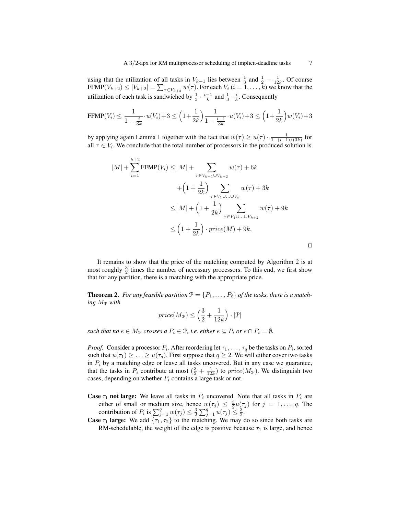using that the utilization of all tasks in  $V_{k+1}$  lies between  $\frac{1}{3}$  and  $\frac{1}{2} - \frac{1}{12k}$ . Of course  $\text{FFMP}(V_{k+2}) \le |V_{k+2}| = \sum_{\tau \in V_{k+2}} w(\tau)$ . For each  $V_i$   $(i = 1, \ldots, k)$  we know that the utilization of each task is sandwiched by  $\frac{1}{3} \cdot \frac{i-1}{k}$  and  $\frac{1}{3} \cdot \frac{i}{k}$ . Consequently

$$
\text{FFMP}(V_i) \le \frac{1}{1 - \frac{i}{3k}} \cdot u(V_i) + 3 \le \left(1 + \frac{1}{2k}\right) \frac{1}{1 - \frac{i-1}{3k}} \cdot u(V_i) + 3 \le \left(1 + \frac{1}{2k}\right) w(V_i) + 3
$$

by applying again Lemma 1 together with the fact that  $w(\tau) \ge u(\tau) \cdot \frac{1}{1 - (i-1)/(3k)}$  for all  $\tau \in V_i$ . We conclude that the total number of processors in the produced solution is

$$
|M| + \sum_{i=1}^{k+2} \text{FFMP}(V_i) \le |M| + \sum_{\tau \in V_{k+1} \cup V_{k+2}} w(\tau) + 6k
$$
  
+ 
$$
\left(1 + \frac{1}{2k}\right) \sum_{\tau \in V_1 \cup \ldots \cup V_k} w(\tau) + 3k
$$
  

$$
\le |M| + \left(1 + \frac{1}{2k}\right) \sum_{\tau \in V_1 \cup \ldots \cup V_{k+2}} w(\tau) + 9k
$$
  

$$
\le \left(1 + \frac{1}{2k}\right) \cdot price(M) + 9k.
$$

It remains to show that the price of the matching computed by Algorithm 2 is at most roughly  $\frac{3}{2}$  times the number of necessary processors. To this end, we first show that for any partition, there is a matching with the appropriate price.

**Theorem 2.** For any feasible partition  $\mathcal{P} = \{P_1, \ldots, P_\ell\}$  of the tasks, there is a match*ing*  $M_{\mathcal{P}}$  *with* 

$$
price(M_{\mathcal{P}}) \leq \left(\frac{3}{2} + \frac{1}{12k}\right) \cdot |\mathcal{P}|
$$

*such that no*  $e \in M_{\mathcal{P}}$  *crosses a*  $P_i \in \mathcal{P}$ *, i.e. either*  $e \subseteq P_i$  *or*  $e \cap P_i = \emptyset$ *.* 

*Proof.* Consider a processor  $P_i$ . After reordering let  $\tau_1, \ldots, \tau_q$  be the tasks on  $P_i$ , sorted such that  $u(\tau_1) \geq \ldots \geq u(\tau_q)$ . First suppose that  $q \geq 2$ . We will either cover two tasks in  $P_i$  by a matching edge or leave all tasks uncovered. But in any case we guarantee, that the tasks in  $P_i$  contribute at most  $(\frac{3}{2} + \frac{1}{12k})$  to  $price(M_{\mathcal{P}})$ . We distinguish two cases, depending on whether  $P_i$  contains a large task or not.

- **Case**  $\tau_1$  not large: We leave all tasks in  $P_i$  uncovered. Note that all tasks in  $P_i$  are either of small or medium size, hence  $w(\tau_j) \leq \frac{3}{2}u(\tau_j)$  for  $j = 1, \ldots, q$ . The contribution of  $P_i$  is  $\sum_{j=1}^q w(\tau_j) \leq \frac{3}{2} \sum_{j=1}^q u(\tau_j) \leq \frac{3}{2}$ .
- **Case**  $\tau_1$  large: We add  $\{\tau_1, \tau_2\}$  to the matching. We may do so since both tasks are RM-schedulable, the weight of the edge is positive because  $\tau_1$  is large, and hence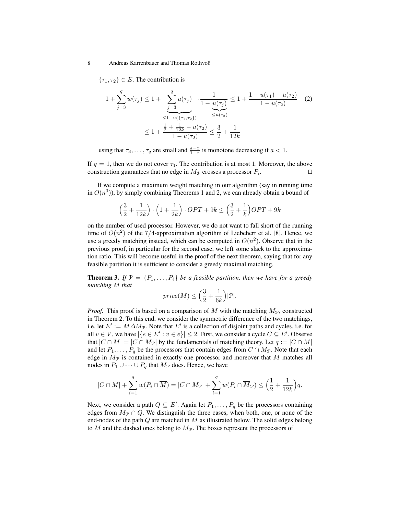${\tau_1, \tau_2} \in E$ . The contribution is

$$
1 + \sum_{j=3}^{q} w(\tau_j) \le 1 + \underbrace{\sum_{j=3}^{q} u(\tau_j)}_{\le 1 - u(\{\tau_1, \tau_2\})} \cdot \frac{1}{1 - \underbrace{u(\tau_j)}_{\le u(\tau_2)}} \le 1 + \frac{1 - u(\tau_1) - u(\tau_2)}{1 - u(\tau_2)} \quad (2)
$$
  

$$
\le 1 + \frac{\frac{1}{2} + \frac{1}{12k} - u(\tau_2)}{1 - u(\tau_2)} \le \frac{3}{2} + \frac{1}{12k}
$$

using that  $\tau_3, \ldots, \tau_q$  are small and  $\frac{a-x}{1-x}$  is monotone decreasing if  $a < 1$ .

If  $q = 1$ , then we do not cover  $\tau_1$ . The contribution is at most 1. Moreover, the above construction guarantees that no edge in  $M_{\mathcal{P}}$  crosses a processor  $P_i$ . . The contract of  $\Box$ 

If we compute a maximum weight matching in our algorithm (say in running time in  $O(n^3)$ ), by simply combining Theorems 1 and 2, we can already obtain a bound of

$$
\left(\frac{3}{2} + \frac{1}{12k}\right) \cdot \left(1 + \frac{1}{2k}\right) \cdot OPT + 9k \le \left(\frac{3}{2} + \frac{1}{k}\right) OPT + 9k
$$

on the number of used processor. However, we do not want to fall short of the running time of  $O(n^2)$  of the 7/4-approximation algorithm of Liebeherr et al. [8]. Hence, we use a greedy matching instead, which can be computed in  $O(n^2)$ . Observe that in the previous proof, in particular for the second case, we left some slack to the approximation ratio. This will become useful in the proof of the next theorem, saying that for any feasible partition it is sufficient to consider a greedy maximal matching.

**Theorem 3.** If  $\mathcal{P} = \{P_1, \ldots, P_\ell\}$  *be a feasible partition, then we have for a greedy matching* M *that*

$$
price(M) \leq \Big(\frac{3}{2} + \frac{1}{6k}\Big)|\mathcal{P}|.
$$

*Proof.* This proof is based on a comparison of M with the matching  $M_p$ , constructed in Theorem 2. To this end, we consider the symmetric difference of the two matchings, i.e. let  $E' := M \Delta M_{\mathcal{P}}$ . Note that  $E'$  is a collection of disjoint paths and cycles, i.e. for all  $v \in V$ , we have  $|\{e \in E': v \in e\}| \leq 2$ . First, we consider a cycle  $C \subseteq E'$ . Observe that  $|C \cap M| = |C \cap M_{\mathcal{P}}|$  by the fundamentals of matching theory. Let  $q := |C \cap M|$ and let  $P_1, \ldots, P_q$  be the processors that contain edges from  $C \cap M_{\mathcal{P}}$ . Note that each edge in  $M_{\mathcal{P}}$  is contained in exactly one processor and moreover that M matches all nodes in  $P_1 \cup \cdots \cup P_q$  that  $M_{\mathcal{P}}$  does. Hence, we have

$$
|C \cap M| + \sum_{i=1}^q w(P_i \cap \overline{M}) = |C \cap M_{\mathcal{P}}| + \sum_{i=1}^q w(P_i \cap \overline{M}_{\mathcal{P}}) \leq \left(\frac{1}{2} + \frac{1}{12k}\right)q.
$$

Next, we consider a path  $Q \subseteq E'$ . Again let  $P_1, \ldots, P_q$  be the processors containing edges from  $M_{\mathcal{P}} \cap Q$ . We distinguish the three cases, when both, one, or none of the end-nodes of the path  $Q$  are matched in  $M$  as illustrated below. The solid edges belong to  $M$  and the dashed ones belong to  $M_{\mathcal{P}}$ . The boxes represent the processors of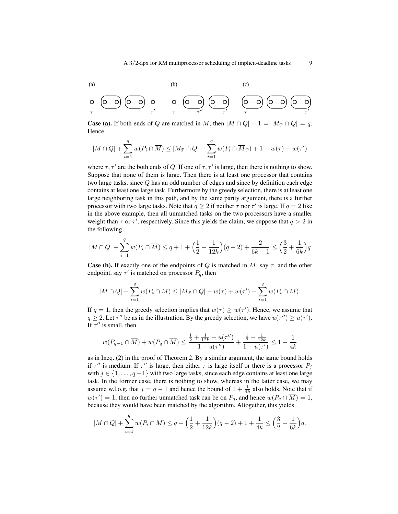(a) (b) (c) 
$$
\overbrace{C \longrightarrow C \longrightarrow C \longrightarrow C}^{(b)} \overbrace{C \longrightarrow C}^{(c)} \overbrace{C \longrightarrow C}^{(c)} \overbrace{C \longrightarrow C}^{(c)} \overbrace{C \longrightarrow C}^{(c)} \overbrace{C \longrightarrow C}^{(c)} \overbrace{C \longrightarrow C}^{(c)} \overbrace{C \longrightarrow C}^{(c)} \overbrace{C \longrightarrow C}^{(c)} \overbrace{C \longrightarrow C}^{(c)} \overbrace{C \longrightarrow C}^{(c)} \overbrace{C \longrightarrow C}^{(c)} \overbrace{C \longrightarrow C}^{(c)} \overbrace{C \longrightarrow C}^{(c)} \overbrace{C \longrightarrow C}^{(c)} \overbrace{C \longrightarrow C}^{(c)} \overbrace{C \longrightarrow C}^{(c)} \overbrace{C \longrightarrow C}^{(c)} \overbrace{C \longrightarrow C}^{(c)} \overbrace{C \longrightarrow C}^{(c)} \overbrace{C \longrightarrow C}^{(c)} \overbrace{C \longrightarrow C}^{(c)} \overbrace{C \longrightarrow C}^{(c)} \overbrace{C \longrightarrow C}^{(c)} \overbrace{C \longrightarrow C}^{(c)} \overbrace{C \longrightarrow C}^{(c)} \overbrace{C \longrightarrow C}^{(c)} \overbrace{C \longrightarrow C}^{(c)} \overbrace{C \longrightarrow C}^{(c)} \overbrace{C \longrightarrow C}^{(c)} \overbrace{C \longrightarrow C}^{(c)} \overbrace{C \longrightarrow C}^{(c)} \overbrace{C \longrightarrow C}^{(c)} \overbrace{C \longrightarrow C}^{(c)} \overbrace{C \longrightarrow C}^{(c)} \overbrace{C \longrightarrow C}^{(c)} \overbrace{C \longrightarrow C}^{(c)} \overbrace{C \longrightarrow C}^{(c)} \overbrace{C \longrightarrow C}^{(c)} \overbrace{C \longrightarrow C}^{(c)} \overbrace{C \longrightarrow C}^{(c)} \overbrace{C \longrightarrow C}^{(c)} \overbrace{C \longrightarrow C}^{(c)} \overbrace{C \longrightarrow C}^{(c)} \overbrace{C \longrightarrow C}^{(c)} \overbrace{C \longrightarrow C}^{(c)} \overbrace{C \longrightarrow C}^{(c)} \overbrace{C \longrightarrow C}^{(c)} \overbrace{C \longrightarrow C}^{(c)} \overbrace{C \longrightarrow C}^{(c)} \overbrace{C \longrightarrow C}^{(c)} \overbrace{C}^{(c)} \longrightarrow C \longrightarrow C
$$

**Case (a).** If both ends of Q are matched in M, then  $|M \cap Q| - 1 = |M_{\mathcal{P}} \cap Q| = q$ . Hence,

$$
|M \cap Q| + \sum_{i=1}^{q} w(P_i \cap \overline{M}) \le |M_{\mathcal{P}} \cap Q| + \sum_{i=1}^{q} w(P_i \cap \overline{M}_{\mathcal{P}}) + 1 - w(\tau) - w(\tau')
$$

where  $\tau$ ,  $\tau'$  are the both ends of Q. If one of  $\tau$ ,  $\tau'$  is large, then there is nothing to show. Suppose that none of them is large. Then there is at least one processor that contains two large tasks, since Q has an odd number of edges and since by definition each edge contains at least one large task. Furthermore by the greedy selection, there is at least one large neighboring task in this path, and by the same parity argument, there is a further processor with two large tasks. Note that  $q \geq 2$  if neither  $\tau$  nor  $\tau'$  is large. If  $q = 2$  like in the above example, then all unmatched tasks on the two processors have a smaller weight than  $\tau$  or  $\tau'$ , respectively. Since this yields the claim, we suppose that  $q > 2$  in the following.

$$
|M \cap Q| + \sum_{i=1}^{q} w(P_i \cap \overline{M}) \le q + 1 + \left(\frac{1}{2} + \frac{1}{12k}\right)(q-2) + \frac{2}{6k-1} \le \left(\frac{3}{2} + \frac{1}{6k}\right)q
$$

**Case (b).** If exactly one of the endpoints of Q is matched in M, say  $\tau$ , and the other endpoint, say  $\tau'$  is matched on processor  $P_q$ , then

$$
|M \cap Q| + \sum_{i=1}^q w(P_i \cap \overline{M}) \le |M_{\mathcal{P}} \cap Q| - w(\tau) + w(\tau') + \sum_{i=1}^q w(P_i \cap \overline{M}).
$$

If  $q = 1$ , then the greedy selection implies that  $w(\tau) \geq w(\tau')$ . Hence, we assume that  $q \ge 2$ . Let  $\tau''$  be as in the illustration. By the greedy selection, we have  $u(\tau'') \ge u(\tau')$ . If  $\tau''$  is small, then

$$
w(P_{q-1} \cap \overline{M}) + w(P_q \cap \overline{M}) \le \frac{\frac{1}{2} + \frac{1}{12k} - u(\tau'')}{1 - u(\tau'')} + \frac{\frac{1}{2} + \frac{1}{12k}}{1 - u(\tau')} \le 1 + \frac{1}{4k}
$$

as in Ineq. (2) in the proof of Theorem 2. By a similar argument, the same bound holds if  $\tau''$  is medium. If  $\tau''$  is large, then either  $\tau$  is large itself or there is a processor  $P_j$ with  $j \in \{1, \ldots, q-1\}$  with two large tasks, since each edge contains at least one large task. In the former case, there is nothing to show, whereas in the latter case, we may assume w.l.o.g. that  $j = q - 1$  and hence the bound of  $1 + \frac{1}{4k}$  also holds. Note that if  $w(\tau') = 1$ , then no further unmatched task can be on  $P_q$ , and hence  $w(P_q \cap \overline{M}) = 1$ , because they would have been matched by the algorithm. Altogether, this yields

$$
|M \cap Q| + \sum_{i=1}^{q} w(P_i \cap \overline{M}) \le q + \left(\frac{1}{2} + \frac{1}{12k}\right)(q-2) + 1 + \frac{1}{4k} \le \left(\frac{3}{2} + \frac{1}{6k}\right)q.
$$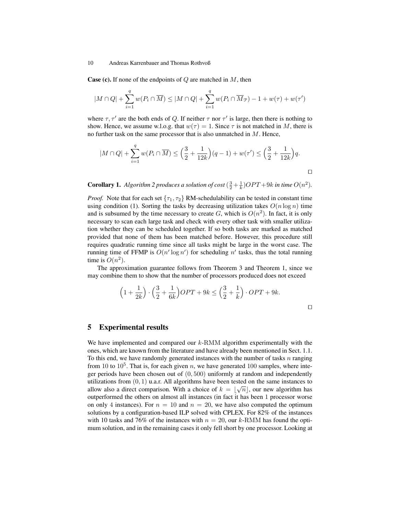**Case (c).** If none of the endpoints of  $Q$  are matched in  $M$ , then

$$
|M \cap Q| + \sum_{i=1}^{q} w(P_i \cap \overline{M}) \le |M \cap Q| + \sum_{i=1}^{q} w(P_i \cap \overline{M}_{\mathcal{P}}) - 1 + w(\tau) + w(\tau')
$$

where  $\tau$ ,  $\tau'$  are the both ends of Q. If neither  $\tau$  nor  $\tau'$  is large, then there is nothing to show. Hence, we assume w.l.o.g. that  $w(\tau) = 1$ . Since  $\tau$  is not matched in M, there is no further task on the same processor that is also unmatched in M. Hence,

$$
|M \cap Q| + \sum_{i=1}^{q} w(P_i \cap \overline{M}) \le \left(\frac{3}{2} + \frac{1}{12k}\right)(q-1) + w(\tau') \le \left(\frac{3}{2} + \frac{1}{12k}\right)q.
$$

**Corollary 1.** Algorithm 2 produces a solution of cost  $(\frac{3}{2} + \frac{1}{k})OPT + 9k$  in time  $O(n^2)$ .

*Proof.* Note that for each set  $\{\tau_1, \tau_2\}$  RM-schedulability can be tested in constant time using condition (1). Sorting the tasks by decreasing utilization takes  $O(n \log n)$  time and is subsumed by the time necessary to create  $G$ , which is  $O(n^2)$ . In fact, it is only necessary to scan each large task and check with every other task with smaller utilization whether they can be scheduled together. If so both tasks are marked as matched provided that none of them has been matched before. However, this procedure still requires quadratic running time since all tasks might be large in the worst case. The running time of FFMP is  $O(n' \log n')$  for scheduling n' tasks, thus the total running time is  $O(n^2)$ .

The approximation guarantee follows from Theorem 3 and Theorem 1, since we may combine them to show that the number of processors produced does not exceed

$$
\left(1 + \frac{1}{2k}\right) \cdot \left(\frac{3}{2} + \frac{1}{6k}\right) OPT + 9k \le \left(\frac{3}{2} + \frac{1}{k}\right) \cdot OPT + 9k.
$$

 $\Box$ 

## 5 Experimental results

We have implemented and compared our  $k$ -RMM algorithm experimentally with the ones, which are known from the literature and have already been mentioned in Sect. 1.1. To this end, we have randomly generated instances with the number of tasks  $n$  ranging from 10 to  $10^5$ . That is, for each given n, we have generated 100 samples, where integer periods have been chosen out of  $(0, 500)$  uniformly at random and independently utilizations from  $(0, 1)$  u.a.r. All algorithms have been tested on the same instances to allow also a direct comparison. With a choice of  $k = \lfloor \sqrt{n} \rfloor$ , our new algorithm has outperformed the others on almost all instances (in fact it has been 1 processor worse on only 4 instances). For  $n = 10$  and  $n = 20$ , we have also computed the optimum solutions by a configuration-based ILP solved with CPLEX. For 82% of the instances with 10 tasks and 76% of the instances with  $n = 20$ , our k-RMM has found the optimum solution, and in the remaining cases it only fell short by one processor. Looking at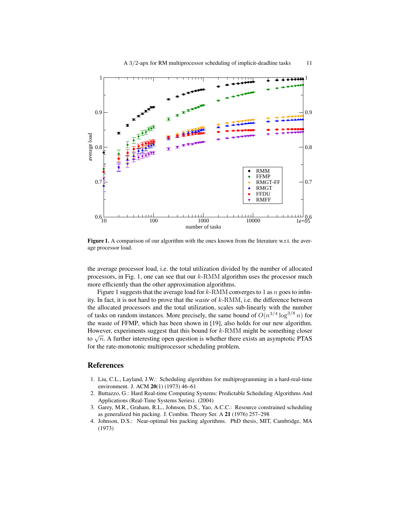

Figure 1. A comparison of our algorithm with the ones known from the literature w.r.t. the average processor load.

the average processor load, i.e. the total utilization divided by the number of allocated processors, in Fig. 1, one can see that our  $k$ -RMM algorithm uses the processor much more efficiently than the other approximation algorithms.

Figure 1 suggests that the average load for  $k$ -RMM converges to 1 as  $n$  goes to infinity. In fact, it is not hard to prove that the *waste* of k-RMM, i.e. the difference between the allocated processors and the total utilization, scales sub-linearly with the number of tasks on random instances. More precisely, the same bound of  $O(n^{3/4} \log^{3/8} n)$  for the waste of FFMP, which has been shown in [19], also holds for our new algorithm. However, experiments suggest that this bound for  $k$ -RMM might be something closer to  $\sqrt{n}$ . A further interesting open question is whether there exists an asymptotic PTAS for the rate-monotonic multiprocessor scheduling problem.

# References

- 1. Liu, C.L., Layland, J.W.: Scheduling algorithms for multiprogramming in a hard-real-time environment. J. ACM 20(1) (1973) 46–61
- 2. Buttazzo, G.: Hard Real-time Computing Systems: Predictable Scheduling Algorithms And Applications (Real-Time Systems Series). (2004)
- 3. Garey, M.R., Graham, R.L., Johnson, D.S., Yao, A.C.C.: Resource constrained scheduling as generalized bin packing. J. Combin. Theory Ser. A 21 (1976) 257–298
- 4. Johnson, D.S.: Near-optimal bin packing algorithms. PhD thesis, MIT, Cambridge, MA (1973)